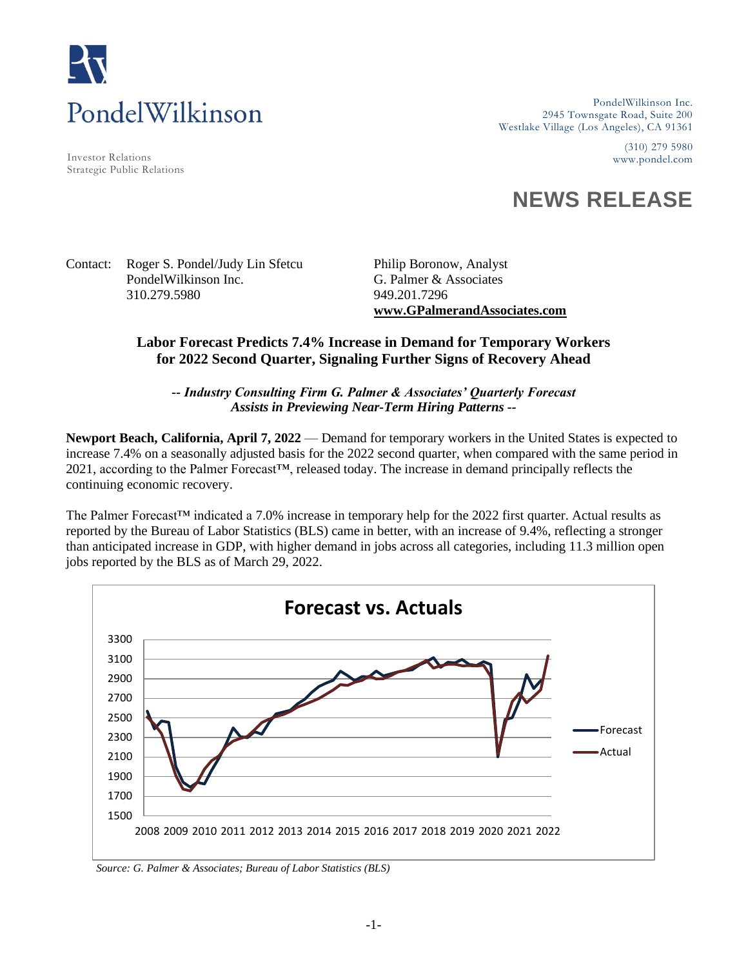

Investor Relations www.pondel.com Strategic Public Relations

PondelWilkinson Inc. 2945 Townsgate Road, Suite 200 Westlake Village (Los Angeles), CA 91361

(310) 279 5980

## **NEWS RELEASE**

Contact: Roger S. Pondel/Judy Lin Sfetcu Philip Boronow, Analyst PondelWilkinson Inc. G. Palmer & Associates 310.279.5980 949.201.7296

**www.GPalmerandAssociates.com** 

## **Labor Forecast Predicts 7.4% Increase in Demand for Temporary Workers for 2022 Second Quarter, Signaling Further Signs of Recovery Ahead**

*-- Industry Consulting Firm G. Palmer & Associates' Quarterly Forecast Assists in Previewing Near-Term Hiring Patterns --*

**Newport Beach, California, April 7, 2022** — Demand for temporary workers in the United States is expected to increase 7.4% on a seasonally adjusted basis for the 2022 second quarter, when compared with the same period in 2021, according to the Palmer Forecast™, released today. The increase in demand principally reflects the continuing economic recovery.

The Palmer Forecast™ indicated a 7.0% increase in temporary help for the 2022 first quarter. Actual results as reported by the Bureau of Labor Statistics (BLS) came in better, with an increase of 9.4%, reflecting a stronger than anticipated increase in GDP, with higher demand in jobs across all categories, including 11.3 million open jobs reported by the BLS as of March 29, 2022.



*Source: G. Palmer & Associates; Bureau of Labor Statistics (BLS)*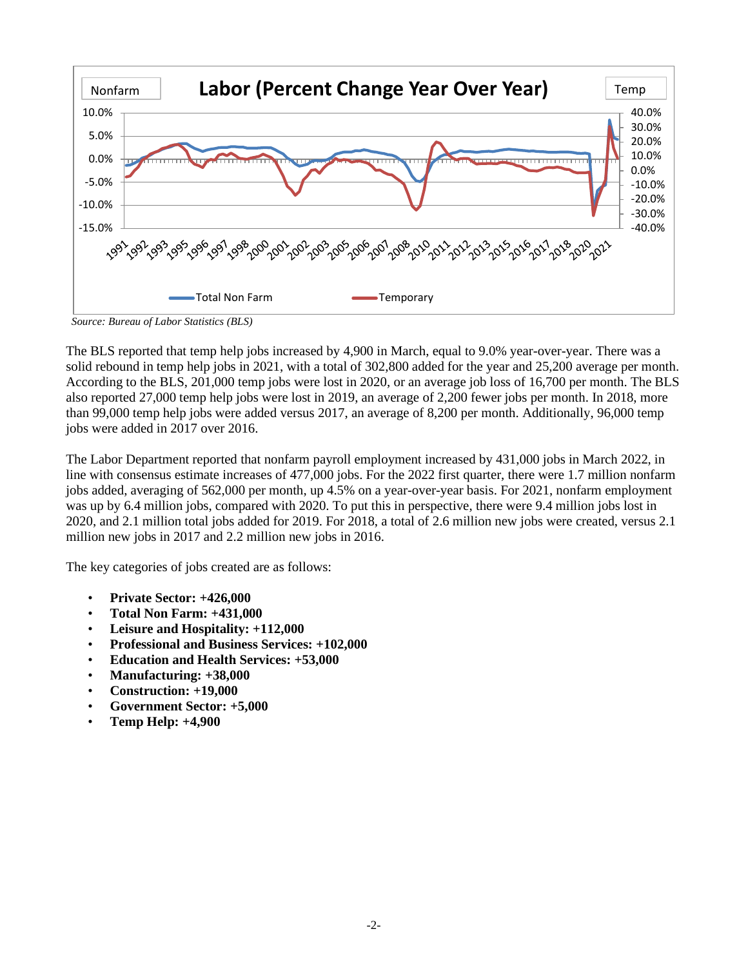

*Source: Bureau of Labor Statistics (BLS)*

The BLS reported that temp help jobs increased by 4,900 in March, equal to 9.0% year-over-year. There was a solid rebound in temp help jobs in 2021, with a total of 302,800 added for the year and 25,200 average per month. According to the BLS, 201,000 temp jobs were lost in 2020, or an average job loss of 16,700 per month. The BLS also reported 27,000 temp help jobs were lost in 2019, an average of 2,200 fewer jobs per month. In 2018, more than 99,000 temp help jobs were added versus 2017, an average of 8,200 per month. Additionally, 96,000 temp jobs were added in 2017 over 2016.

The Labor Department reported that nonfarm payroll employment increased by 431,000 jobs in March 2022, in line with consensus estimate increases of 477,000 jobs. For the 2022 first quarter, there were 1.7 million nonfarm jobs added, averaging of 562,000 per month, up 4.5% on a year-over-year basis. For 2021, nonfarm employment was up by 6.4 million jobs, compared with 2020. To put this in perspective, there were 9.4 million jobs lost in 2020, and 2.1 million total jobs added for 2019. For 2018, a total of 2.6 million new jobs were created, versus 2.1 million new jobs in 2017 and 2.2 million new jobs in 2016.

The key categories of jobs created are as follows:

- **Private Sector: +426,000**
- **Total Non Farm: +431,000**
- **Leisure and Hospitality: +112,000**
- **Professional and Business Services: +102,000**
- **Education and Health Services: +53,000**
- **Manufacturing: +38,000**
- **Construction: +19,000**
- **Government Sector: +5,000**
- **Temp Help: +4,900**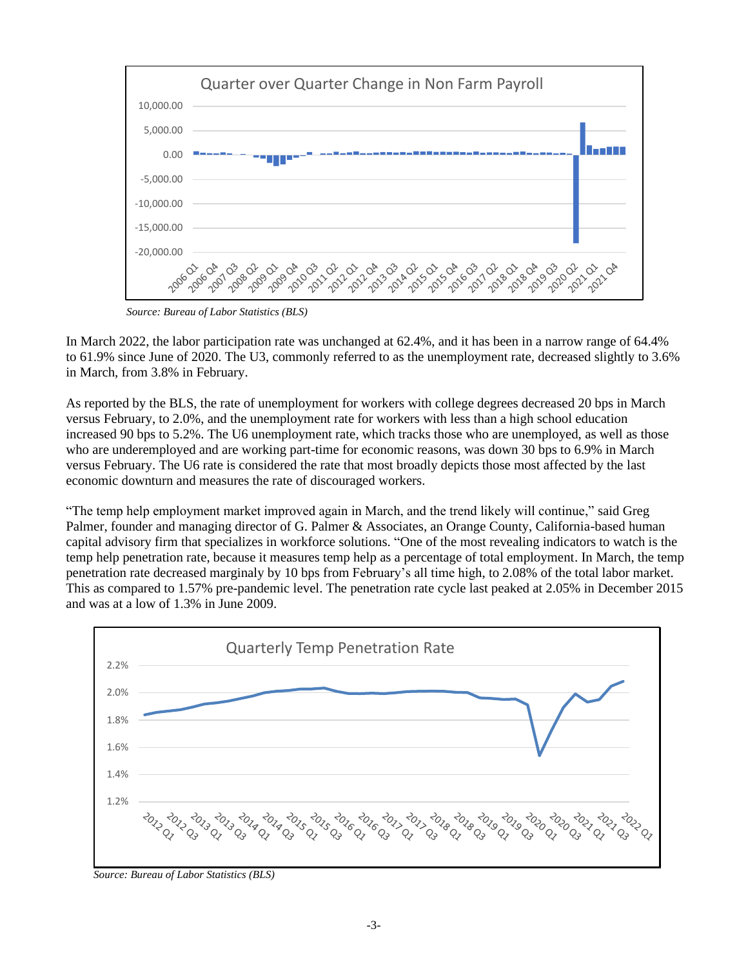

 *Source: Bureau of Labor Statistics (BLS)*

In March 2022, the labor participation rate was unchanged at 62.4%, and it has been in a narrow range of 64.4% to 61.9% since June of 2020. The U3, commonly referred to as the unemployment rate, decreased slightly to 3.6% in March, from 3.8% in February.

As reported by the BLS, the rate of unemployment for workers with college degrees decreased 20 bps in March versus February, to 2.0%, and the unemployment rate for workers with less than a high school education increased 90 bps to 5.2%. The U6 unemployment rate, which tracks those who are unemployed, as well as those who are underemployed and are working part-time for economic reasons, was down 30 bps to 6.9% in March versus February. The U6 rate is considered the rate that most broadly depicts those most affected by the last economic downturn and measures the rate of discouraged workers.

"The temp help employment market improved again in March, and the trend likely will continue," said Greg Palmer, founder and managing director of G. Palmer & Associates, an Orange County, California-based human capital advisory firm that specializes in workforce solutions. "One of the most revealing indicators to watch is the temp help penetration rate, because it measures temp help as a percentage of total employment. In March, the temp penetration rate decreased marginaly by 10 bps from February's all time high, to 2.08% of the total labor market. This as compared to 1.57% pre-pandemic level. The penetration rate cycle last peaked at 2.05% in December 2015 and was at a low of 1.3% in June 2009.



*Source: Bureau of Labor Statistics (BLS)*